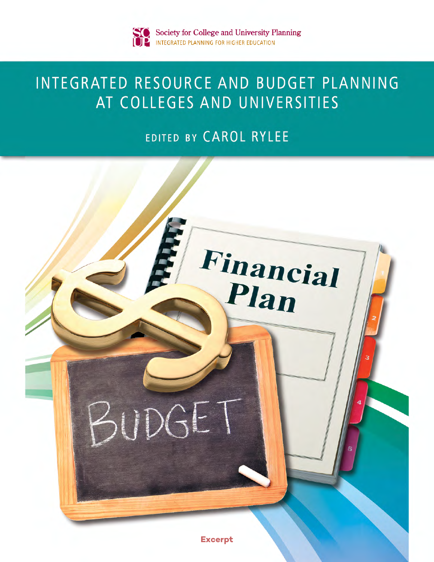# INTEGRATED RESOURCE AND BUDGET PLANNING AT COLLEGES AND UNIVERSITIES

# EDITED BY CAROL RYLEE

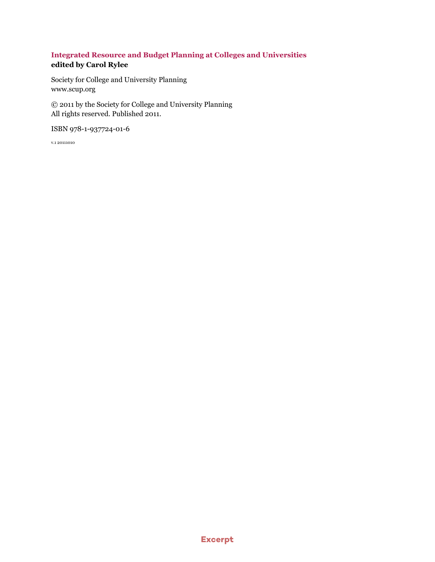## **Integrated Resource and Budget Planning at Colleges and Universities edited by Carol Rylee**

Society for College and University Planning [www.scup.org](http://www.scup.org)

© 2011 by the Society for College and University Planning All rights reserved. Published 2011.

ISBN 978-1-937724-01-6

v.1 20111010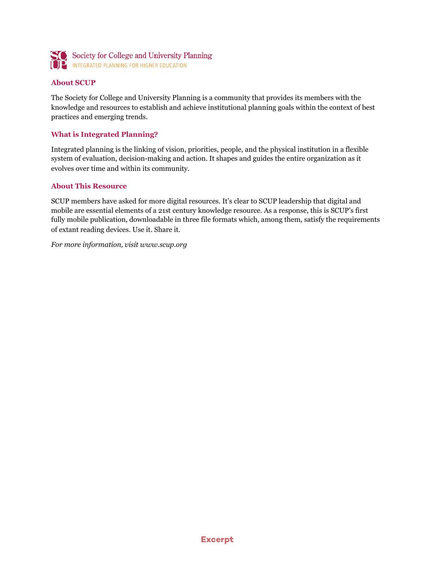

#### **About SCUP**

The Society for College and University Planning is a community that provides its members with the knowledge and resources to establish and achieve institutional planning goals within the context of best practices and emerging trends.

#### **What is Integrated Planning?**

Integrated planning is the linking of vision, priorities, people, and the physical institution in a flexible system of evaluation, decision-making and action. It shapes and guides the entire organization as it evolves over time and within its community.

#### **About This Resource**

SCUP members have asked for more digital resources. It's clear to SCUP leadership that digital and mobile are essential elements of a 21st century knowledge resource. As a response, this is SCUP's first fully mobile publication, downloadable in three file formats which, among them, satisfy the requirements of extant reading devices. Use it. Share it.

*For more information, visit [www.scup.org](http://www.scup.org)*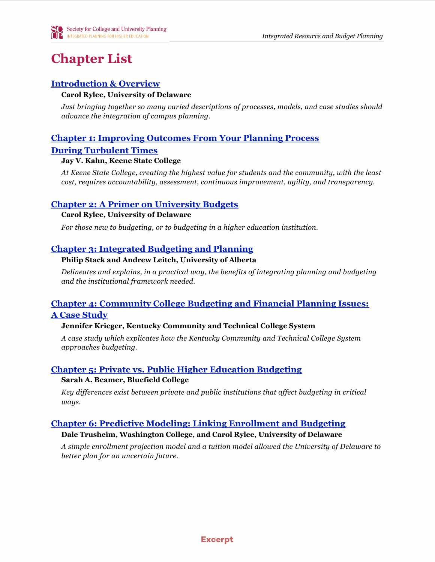# **Chapter List**

## <span id="page-3-0"></span>**[Introduction & Overview](#page-5-0)**

### **Carol Rylee, University of Delaware**

*Just bringing together so many varied descriptions of processes, models, and case studies should advance the integration of campus planning.*

## <span id="page-3-1"></span>**[Chapter 1: Improving Outcomes From Your Planning Process](#page-7-0)**

## **[During Turbulent Times](#page-7-0)**

### **Jay V. Kahn, Keene State College**

*At Keene State College, creating the highest value for students and the community, with the least cost, requires accountability, assessment, continuous improvement, agility, and transparency.*

## **[Chapter 2: A Primer on University Budgets](#page--1-0)**

### **Carol Rylee, University of Delaware**

*For those new to budgeting, or to budgeting in a higher education institution.*

## **[Chapter 3: Integrated Budgeting and Planning](#page--1-0)**

## **Philip Stack and Andrew Leitch, University of Alberta**

*Delineates and explains, in a practical way, the benefits of integrating planning and budgeting and the institutional framework needed.*

## **[Chapter 4: Community College Budgeting and Financial Planning Issues:](#page--1-0)  [A Case Study](#page--1-0)**

## **Jennifer Krieger, Kentucky Community and Technical College System**

*A case study which explicates how the Kentucky Community and Technical College System approaches budgeting.*

## **[Chapter 5: Private vs. Public Higher Education Budgeting](#page--1-0)**

#### **Sarah A. Beamer, Bluefield College**

*Key differences exist between private and public institutions that affect budgeting in critical ways.*

## **[Chapter 6: Predictive Modeling: Linking Enrollment and Budgeting](#page--1-0)**

## **Dale Trusheim, Washington College, and Carol Rylee, University of Delaware**

*A simple enrollment projection model and a tuition model allowed the University of Delaware to better plan for an uncertain future.*

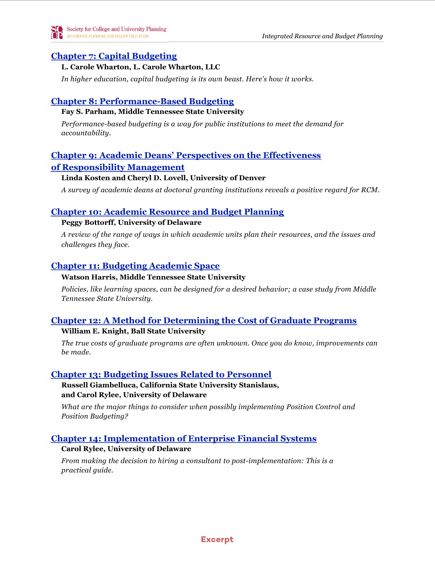## **[Chapter 7: Capital Budgeting](#page--1-0)**

#### **L. Carole Wharton, L. Carole Wharton, LLC**

*In higher education, capital budgeting is its own beast. Here's how it works.*

## **[Chapter 8: Performance-Based Budgeting](#page--1-0)**

### **Fay S. Parham, Middle Tennessee State University**

*Performance-based budgeting is a way for public institutions to meet the demand for accountability.*

## **[Chapter 9: Academic Deans' Perspectives on the Effectiveness](#page--1-0)**

## **[of Responsibility Management](#page--1-0)**

### **Linda Kosten and Cheryl D. Lovell, University of Denver**

*A survey of academic deans at doctoral granting institutions reveals a positive regard for RCM.*

## **[Chapter 10: Academic Resource and Budget Planning](#page--1-0)**

### **Peggy Bottorff, University of Delaware**

*A review of the range of ways in which academic units plan their resources, and the issues and challenges they face.*

## **[Chapter 11: Budgeting Academic Space](#page--1-0)**

### **Watson Harris, Middle Tennessee State University**

*Policies, like learning spaces, can be designed for a desired behavior; a case study from Middle Tennessee State University.*

## **[Chapter 12: A Method for Determining the Cost of Graduate Programs](#page--1-0)**

## **William E. Knight, Ball State University**

*The true costs of graduate programs are often unknown. Once you do know, improvements can be made.*

## **[Chapter 13: Budgeting Issues Related to Personnel](#page--1-0)**

**Russell Giambelluca, California State University Stanislaus, and Carol Rylee, University of Delaware**

*What are the major things to consider when possibly implementing Position Control and Position Budgeting?*

## **[Chapter 14: Implementation of Enterprise Financial Systems](#page--1-0)**

## **Carol Rylee, University of Delaware**

*From making the decision to hiring a consultant to post-implementation: This is a practical guide.*

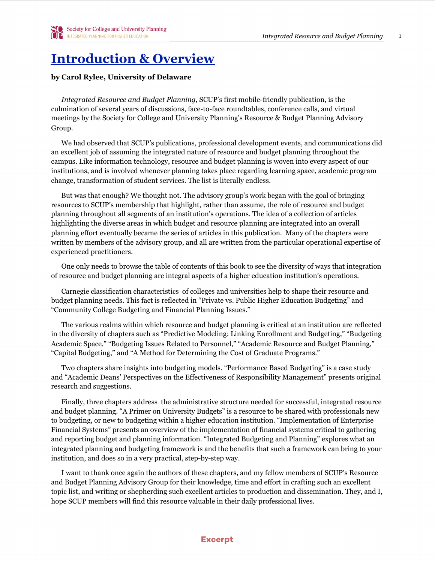## <span id="page-5-0"></span>**[Introduction & Overview](#page-3-0)**

#### **by Carol Rylee, University of Delaware**

*Integrated Resource and Budget Planning,* SCUP's first mobile-friendly publication, is the culmination of several years of discussions, face-to-face roundtables, conference calls, and virtual meetings by the Society for College and University Planning's Resource & Budget Planning Advisory Group.

We had observed that SCUP's publications, professional development events, and communications did an excellent job of assuming the integrated nature of resource and budget planning throughout the campus. Like information technology, resource and budget planning is woven into every aspect of our institutions, and is involved whenever planning takes place regarding learning space, academic program change, transformation of student services. The list is literally endless.

But was that enough? We thought not. The advisory group's work began with the goal of bringing resources to SCUP's membership that highlight, rather than assume, the role of resource and budget planning throughout all segments of an institution's operations. The idea of a collection of articles highlighting the diverse areas in which budget and resource planning are integrated into an overall planning effort eventually became the series of articles in this publication. Many of the chapters were written by members of the advisory group, and all are written from the particular operational expertise of experienced practitioners.

One only needs to browse the table of contents of this book to see the diversity of ways that integration of resource and budget planning are integral aspects of a higher education institution's operations.

Carnegie classification characteristics of colleges and universities help to shape their resource and budget planning needs. This fact is reflected in "Private vs. Public Higher Education Budgeting" and "Community College Budgeting and Financial Planning Issues."

The various realms within which resource and budget planning is critical at an institution are reflected in the diversity of chapters such as "Predictive Modeling: Linking Enrollment and Budgeting," "Budgeting Academic Space," "Budgeting Issues Related to Personnel," "Academic Resource and Budget Planning," "Capital Budgeting," and "A Method for Determining the Cost of Graduate Programs."

Two chapters share insights into budgeting models. "Performance Based Budgeting" is a case study and "Academic Deans' Perspectives on the Effectiveness of Responsibility Management" presents original research and suggestions.

Finally, three chapters address the administrative structure needed for successful, integrated resource and budget planning. "A Primer on University Budgets" is a resource to be shared with professionals new to budgeting, or new to budgeting within a higher education institution. "Implementation of Enterprise Financial Systems" presents an overview of the implementation of financial systems critical to gathering and reporting budget and planning information. "Integrated Budgeting and Planning" explores what an integrated planning and budgeting framework is and the benefits that such a framework can bring to your institution, and does so in a very practical, step-by-step way.

I want to thank once again the authors of these chapters, and my fellow members of SCUP's Resource and Budget Planning Advisory Group for their knowledge, time and effort in crafting such an excellent topic list, and writing or shepherding such excellent articles to production and dissemination. They, and I, hope SCUP members will find this resource valuable in their daily professional lives.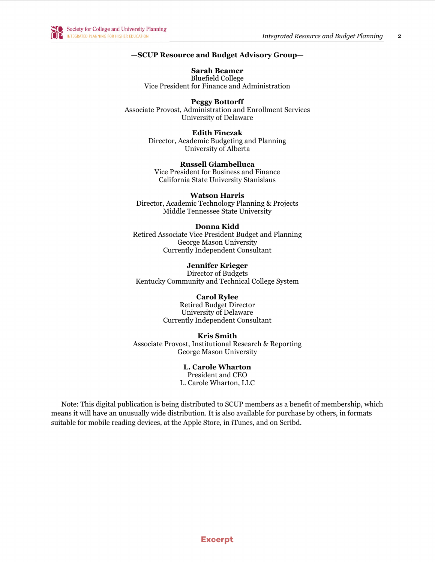

#### **—SCUP Resource and Budget Advisory Group—**

**Sarah Beamer** Bluefield College Vice President for Finance and Administration

**Peggy Bottorff** Associate Provost, Administration and Enrollment Services University of Delaware

> **Edith Finczak** Director, Academic Budgeting and Planning University of Alberta

**Russell Giambelluca** Vice President for Business and Finance California State University Stanislaus

**Watson Harris** Director, Academic Technology Planning & Projects Middle Tennessee State University

#### **Donna Kidd** Retired Associate Vice President Budget and Planning George Mason University

Currently Independent Consultant

**Jennifer Krieger**

Director of Budgets Kentucky Community and Technical College System

#### **Carol Rylee**

Retired Budget Director University of Delaware Currently Independent Consultant

**Kris Smith** Associate Provost, Institutional Research & Reporting George Mason University

> **L. Carole Wharton** President and CEO L. Carole Wharton, LLC

Note: This digital publication is being distributed to SCUP members as a benefit of membership, which means it will have an unusually wide distribution. It is also available for purchase by others, in formats suitable for mobile reading devices, at the Apple Store, in iTunes, and on Scribd.

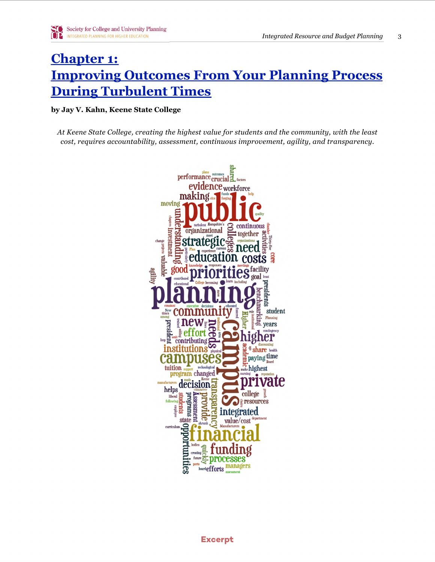## <span id="page-7-0"></span>**Chapter 1: Improving Outcomes From Your Planning Process During Turbulent Times**

#### by Jay V. Kahn, Keene State College

At Keene State College, creating the highest value for students and the community, with the least cost, requires accountability, assessment, continuous improvement, agility, and transparency.

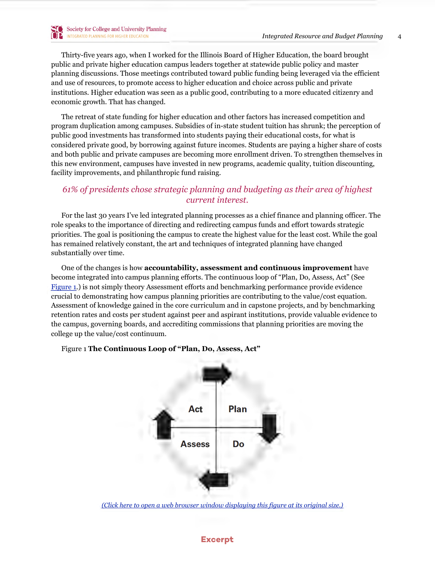Thirty-five years ago, when I worked for the Illinois Board of Higher Education, the board brought public and private higher education campus leaders together at statewide public policy and master planning discussions. Those meetings contributed toward public funding being leveraged via the efficient and use of resources, to promote access to higher education and choice across public and private institutions. Higher education was seen as a public good, contributing to a more educated citizenry and economic growth. That has changed.

The retreat of state funding for higher education and other factors has increased competition and program duplication among campuses. Subsidies of in-state student tuition has shrunk; the perception of public good investments has transformed into students paying their educational costs, for what is considered private good, by borrowing against future incomes. Students are paying a higher share of costs and both public and private campuses are becoming more enrollment driven. To strengthen themselves in this new environment, campuses have invested in new programs, academic quality, tuition discounting, facility improvements, and philanthropic fund raising.

## *61% of presidents chose strategic planning and budgeting as their area of highest current interest.*

For the last 30 years I've led integrated planning processes as a chief finance and planning officer. The role speaks to the importance of directing and redirecting campus funds and effort towards strategic priorities. The goal is positioning the campus to create the highest value for the least cost. While the goal has remained relatively constant, the art and techniques of integrated planning have changed substantially over time.

One of the changes is how **accountability, assessment and continuous improvement** have become integrated into campus planning efforts. The continuous loop of "Plan, Do, Assess, Act" (See [Figure 1](#page-8-0).) is not simply theory Assessment efforts and benchmarking performance provide evidence crucial to demonstrating how campus planning priorities are contributing to the value/cost equation. Assessment of knowledge gained in the core curriculum and in capstone projects, and by benchmarking retention rates and costs per student against peer and aspirant institutions, provide valuable evidence to the campus, governing boards, and accrediting commissions that planning priorities are moving the college up the value/cost continuum.



#### <span id="page-8-0"></span>Figure 1 **The Continuous Loop of "Plan, Do, Assess, Act"**

*[\(Click here to open a web browser window displaying this figure at its original size.\)](http://www.scup.org/asset/59557)*